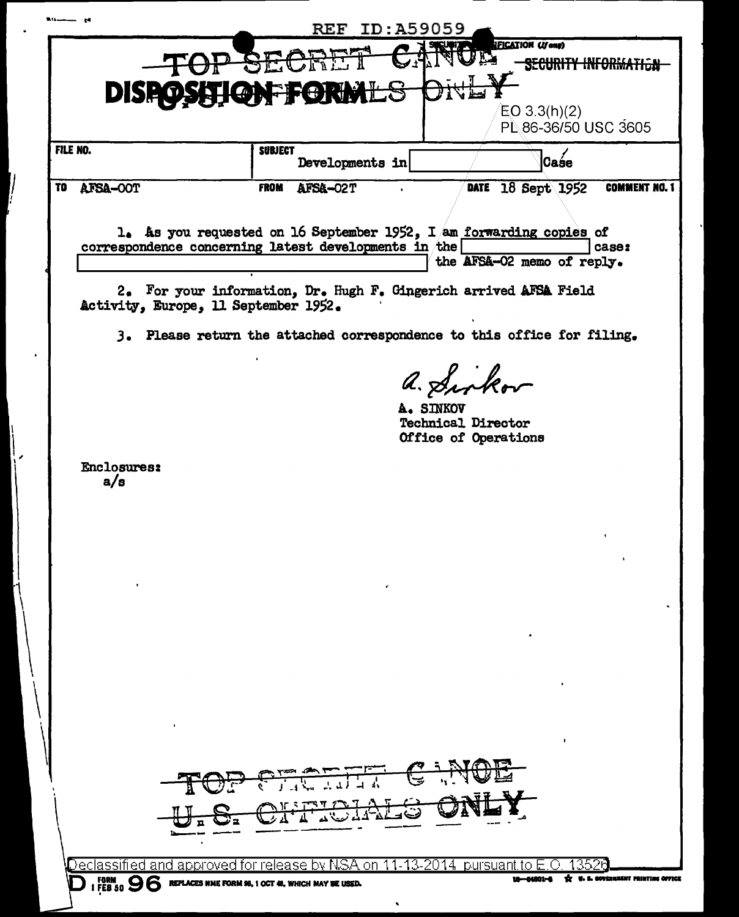|    |                                                                | $\bf{REF}$                              | ID:A59059                                                                                                  |
|----|----------------------------------------------------------------|-----------------------------------------|------------------------------------------------------------------------------------------------------------|
|    | DISI                                                           | <b>ORIVIL'S</b>                         | <b>IFICATION (If any)</b><br><b>SECURITY INFORM</b><br>EO 3.3(h)(2)<br>PL 86-36/50 USC 3605                |
|    | FILE NO.                                                       | <b>SUBJECT</b><br>Developments in       | Caśe                                                                                                       |
| TO | AFSA-OOT                                                       | <b>FROM</b><br>AFSA-02T                 | <b>COMMENT NO. 1</b><br>DATE 18 Sept 1952                                                                  |
|    |                                                                |                                         |                                                                                                            |
|    | correspondence concerning latest developments in the           |                                         | 1. As you requested on 16 September 1952, I am forwarding copies of<br>case:<br>the AFSA-02 memo of reply. |
|    | Activity, Europe, 11 September 1952.                           |                                         | 2. For your information, Dr. Hugh F. Gingerich arrived AFSA Field                                          |
|    | з.                                                             |                                         | Please return the attached correspondence to this office for filing.                                       |
|    |                                                                |                                         | a. Sinkov<br>A. SINKOV<br><b>Technical Director</b><br>Office of Operations                                |
|    | <b>Enclosures:</b><br>a/s                                      |                                         |                                                                                                            |
|    |                                                                |                                         |                                                                                                            |
|    |                                                                |                                         |                                                                                                            |
|    |                                                                |                                         |                                                                                                            |
|    |                                                                |                                         |                                                                                                            |
|    |                                                                | TOP PECIFIC SANDE<br>U.S. CHROIALS ONLY |                                                                                                            |
|    |                                                                |                                         | <code>Declassified</code> and approved for release by NSA on 11-13-2014 $\,$ pursuant to E.O. 1352(        |
|    | I FORM $96$ REPLACES NME FORM 96, 1 OCT 48, WHICH MAY BE USED. |                                         | U. S. COVERNMENT PRINTING OFFICE                                                                           |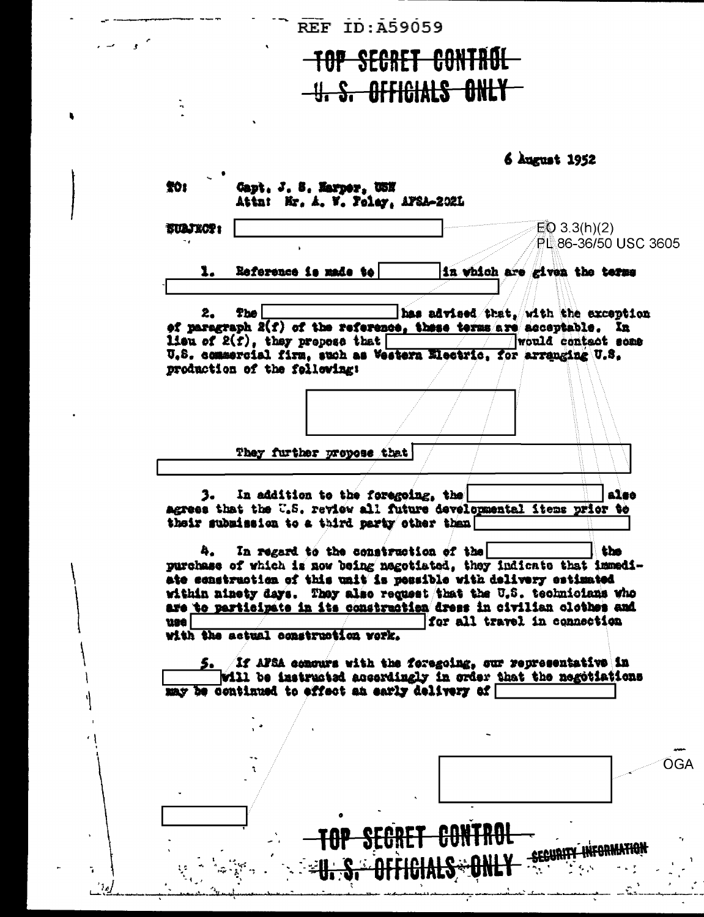**REF** ID: A59059

 $\sim$  ,  $\sim$ 

 $\bullet$ 

l,

 $\tilde{\mathbf{a}}$ يت  $\frac{1}{2}$ 

## TOP SECRET CONTROL -U.S. OFFICIALS ONLY

6 August 1952

| <b>SUAJECT:</b> |                              |                                                                     |  |                                                                                                                                             |  |
|-----------------|------------------------------|---------------------------------------------------------------------|--|---------------------------------------------------------------------------------------------------------------------------------------------|--|
| 7 e l           |                              |                                                                     |  | EQ 3.3(h)(2)<br>PL 86-36/50 USC 3605                                                                                                        |  |
|                 |                              |                                                                     |  |                                                                                                                                             |  |
| 1.              |                              | Reference is made to                                                |  | in which are given the terms                                                                                                                |  |
|                 |                              |                                                                     |  |                                                                                                                                             |  |
| 2.              | <b>The</b>                   |                                                                     |  | has advised that, with the exception                                                                                                        |  |
|                 |                              | <b>lieu of 2(f), they prepose that</b>                              |  | of paragraph 2(f) of the reference, these terms are acceptable. In<br>would contact some                                                    |  |
|                 |                              | U.S. commercial firm, such as Vestern Electric, for arranging U.S.  |  |                                                                                                                                             |  |
|                 | production of the following: |                                                                     |  |                                                                                                                                             |  |
|                 |                              |                                                                     |  |                                                                                                                                             |  |
|                 |                              |                                                                     |  |                                                                                                                                             |  |
|                 |                              |                                                                     |  |                                                                                                                                             |  |
|                 |                              | They further propose that                                           |  |                                                                                                                                             |  |
|                 |                              |                                                                     |  |                                                                                                                                             |  |
| з. –            |                              | In addition to the foregoing, the                                   |  | also                                                                                                                                        |  |
|                 |                              |                                                                     |  |                                                                                                                                             |  |
|                 |                              |                                                                     |  |                                                                                                                                             |  |
|                 |                              | agrees that the U.S. review all future developmental items prior to |  |                                                                                                                                             |  |
|                 |                              | their submission to a third party other than                        |  |                                                                                                                                             |  |
|                 |                              |                                                                     |  |                                                                                                                                             |  |
| 4.              |                              | In regard to the construction of the                                |  | the                                                                                                                                         |  |
|                 |                              |                                                                     |  | purchase of which is now being nagotiated, they indicate that immedi-                                                                       |  |
|                 |                              | ate construction of this unit is possible with delivery estimated   |  |                                                                                                                                             |  |
|                 |                              |                                                                     |  | within ninety days. They also request that the U.S. technicians who<br>are to participate in its construction dress in civilian clothes and |  |
| use i           |                              |                                                                     |  | for all travel in connection                                                                                                                |  |
|                 |                              | with the actual construction work.                                  |  |                                                                                                                                             |  |
|                 |                              |                                                                     |  |                                                                                                                                             |  |
|                 |                              |                                                                     |  | 5. If AFSA concurs with the foregoing, our representative in                                                                                |  |
|                 |                              | <u>naw ha amarimna in affant an manin is nam</u>                    |  | will be instructed accordingly in order that the negotiations                                                                               |  |
|                 |                              |                                                                     |  |                                                                                                                                             |  |
|                 |                              |                                                                     |  |                                                                                                                                             |  |
|                 |                              |                                                                     |  |                                                                                                                                             |  |
|                 |                              |                                                                     |  |                                                                                                                                             |  |
|                 |                              |                                                                     |  |                                                                                                                                             |  |
|                 |                              |                                                                     |  |                                                                                                                                             |  |
|                 |                              |                                                                     |  |                                                                                                                                             |  |
|                 |                              |                                                                     |  |                                                                                                                                             |  |
|                 |                              |                                                                     |  |                                                                                                                                             |  |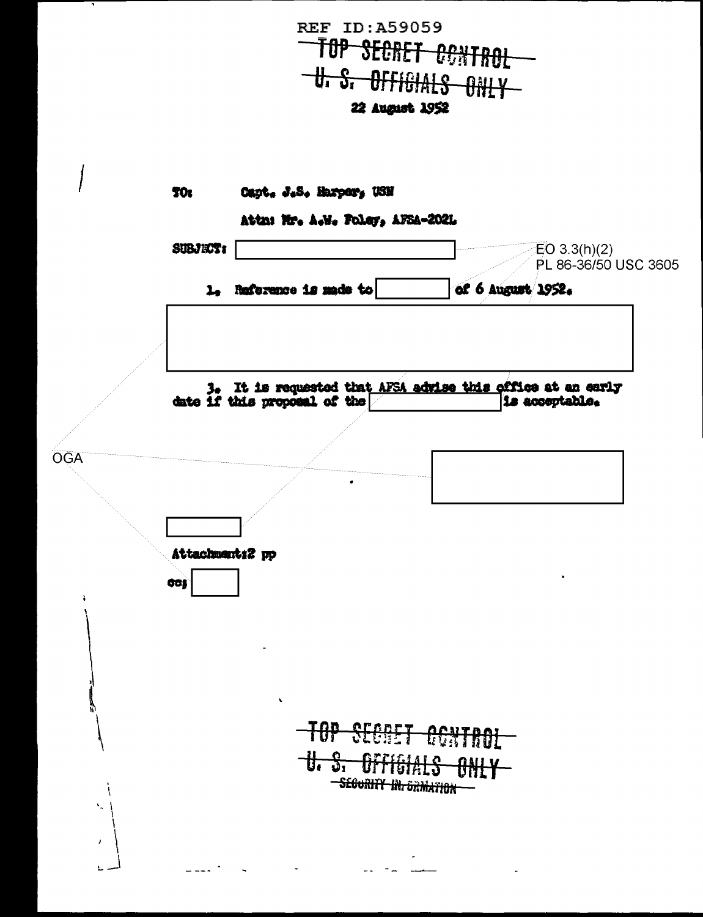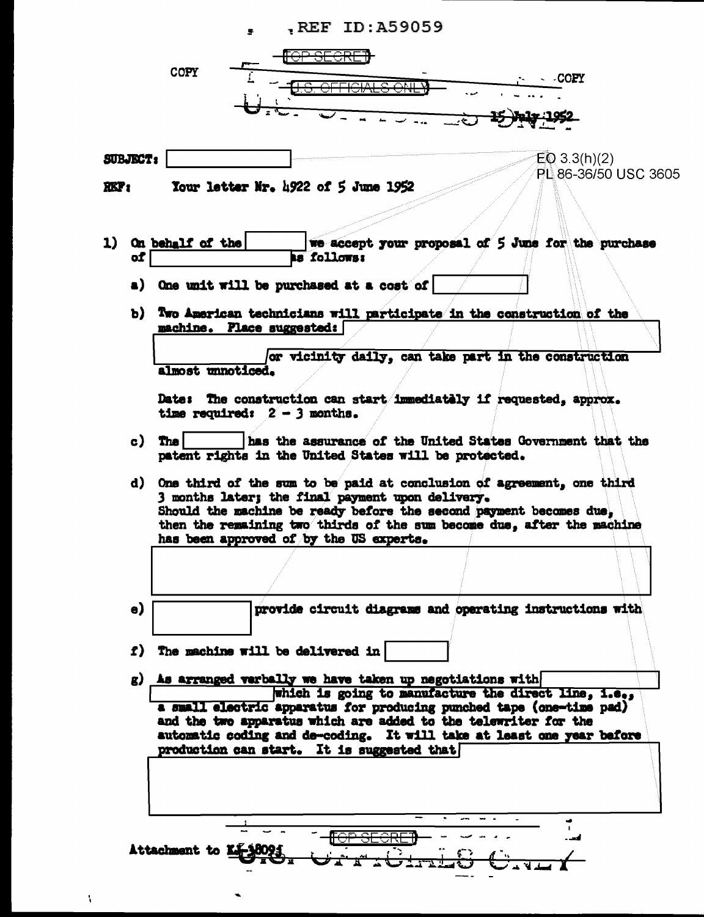|                 |                        | REF ID: A59059<br>s.                             |                                                                                                                                              |                      |
|-----------------|------------------------|--------------------------------------------------|----------------------------------------------------------------------------------------------------------------------------------------------|----------------------|
|                 |                        | <del>TOP SECRE</del>                             |                                                                                                                                              |                      |
|                 | <b>COPY</b>            |                                                  |                                                                                                                                              |                      |
|                 |                        |                                                  |                                                                                                                                              | -COPY                |
|                 |                        |                                                  |                                                                                                                                              |                      |
|                 |                        |                                                  |                                                                                                                                              |                      |
|                 |                        |                                                  |                                                                                                                                              |                      |
|                 |                        |                                                  |                                                                                                                                              |                      |
| <b>SUBJECT:</b> |                        |                                                  |                                                                                                                                              | $E_0$ 3.3(h)(2)      |
| XKT:            |                        | Your letter Mr. $\frac{1922}{15}$ of 5 June 1952 |                                                                                                                                              | PL 86-36/50 USC 3605 |
|                 |                        |                                                  |                                                                                                                                              |                      |
|                 |                        |                                                  |                                                                                                                                              |                      |
|                 |                        |                                                  |                                                                                                                                              |                      |
| of              | 1) On behalf of the    | <b>AS follows:</b>                               | we accept your proposal of 5 June for the purchase                                                                                           |                      |
|                 |                        |                                                  |                                                                                                                                              |                      |
|                 |                        | a) One unit will be purchased at a cost of       |                                                                                                                                              |                      |
|                 |                        |                                                  |                                                                                                                                              |                      |
|                 |                        |                                                  | b) Two American technicians will participate in the construction of the                                                                      |                      |
|                 |                        | machine. Place suggested:                        |                                                                                                                                              |                      |
|                 |                        |                                                  | or vicinity daily, can take part in the construction                                                                                         |                      |
|                 | almost unnoticed.      |                                                  |                                                                                                                                              |                      |
|                 |                        |                                                  |                                                                                                                                              |                      |
|                 |                        |                                                  | Date: The construction can start immediately if requested, approx.                                                                           |                      |
|                 |                        | time required: $2 - 3$ months.                   |                                                                                                                                              |                      |
| c)              | The <b>I</b>           |                                                  | has the assurance of the United States Government that the                                                                                   |                      |
|                 |                        |                                                  | patent rights in the United States will be protected.                                                                                        |                      |
|                 |                        |                                                  |                                                                                                                                              |                      |
|                 |                        |                                                  | d) One third of the sum to be paid at conclusion of agreement, one third                                                                     |                      |
|                 |                        | 3 months later; the final payment upon delivery. |                                                                                                                                              |                      |
|                 |                        |                                                  | Should the machine be ready before the second payment becomes due,<br>then the remaining two thirds of the sum become due, after the machine |                      |
|                 |                        |                                                  |                                                                                                                                              |                      |
|                 |                        |                                                  |                                                                                                                                              |                      |
|                 |                        | has been approved of by the US experts.          |                                                                                                                                              |                      |
|                 |                        |                                                  |                                                                                                                                              |                      |
|                 |                        |                                                  |                                                                                                                                              |                      |
|                 |                        |                                                  |                                                                                                                                              |                      |
| $\bullet$       |                        |                                                  | provide circuit diagrams and operating instructions with                                                                                     |                      |
|                 |                        |                                                  |                                                                                                                                              |                      |
|                 |                        | f) The machine will be delivered in              |                                                                                                                                              |                      |
|                 |                        |                                                  |                                                                                                                                              |                      |
|                 |                        |                                                  | g) As arranged verbally we have taken up negotiations with                                                                                   |                      |
|                 |                        |                                                  | which is going to manufacture the direct line, i.e.,                                                                                         |                      |
|                 |                        |                                                  | a small electric apparatus for producing punched tape (one-time pad)                                                                         |                      |
|                 |                        |                                                  | and the two apparatus which are added to the telewriter for the<br>automatic coding and de-coding. It will take at least one year before     |                      |
|                 |                        | production can start. It is suggested that       |                                                                                                                                              |                      |
|                 |                        |                                                  |                                                                                                                                              |                      |
|                 |                        |                                                  |                                                                                                                                              |                      |
|                 |                        |                                                  |                                                                                                                                              |                      |
|                 |                        |                                                  |                                                                                                                                              |                      |
|                 |                        |                                                  |                                                                                                                                              |                      |
|                 |                        |                                                  |                                                                                                                                              |                      |
|                 | Attachment to KJ-38095 |                                                  |                                                                                                                                              |                      |

 $\ddot{\phantom{a}}$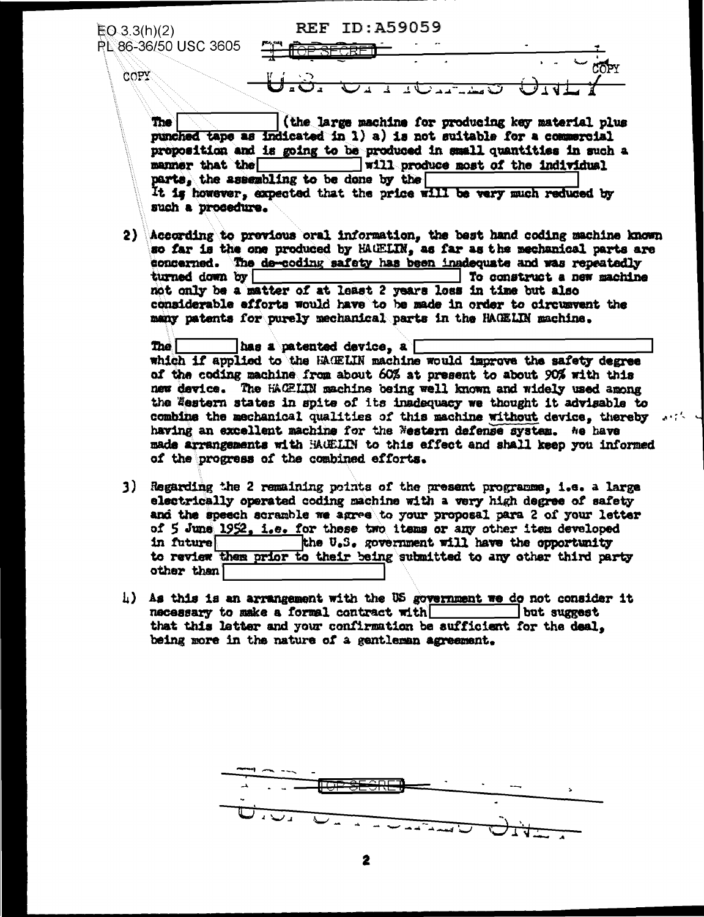ID: A59059  $\mathbf{REF}$  $EQ.3.3(h)(2)$ PL 86-36/50 USC 3605 COPY **The** (the large machine for producing key material plus punched tape as indicated in 1) a) is not suitable for a commercial proposition and is going to be produced in small quantities in such a manner that the will produce most of the individual parts, the assembling to be done by the It is however, expected that the price will be very much reduced by such a procedure. 2) According to previous oral information, the best hand coding machine known so far is the one produced by HAUELIN, as far as the mechanical parts are concerned. The de-coding safety has been inadequate and was repeatedly To construct a new machine turned down by not only be a matter of at least 2 years loss in time but also considerable efforts would have to be made in order to circusvent the many patents for purely mechanical parts in the HACELIN machine. has a patented device, a The | which if applied to the HACELIN machine would improve the safety degree of the coding machine from about 60% at present to about 90% with this new device. The HAGELIN machine being well known and widely used among the Western states in spite of its inadequacy we thought it advisable to combine the mechanical qualities of this machine without device, thereby with having an excellent machine for the Western defense system. Ne have made arrangements with MACLIN to this effect and shall keep you informed of the progress of the combined efforts. 3) Regarding the 2 remaining points of the present programme, i.e. a large electrically operated coding machine with a very high degree of safety and the speech scramble we agree to your proposal para 2 of your letter of 5 June 1952, i.e. for these two items or any other item developed the U.S. government will have the opportunity in future to review them prior to their being submitted to any other third party

4) As this is an arrangement with the US government we do not consider it necessary to make a formal contract with but suggest that this letter and your confirmation be sufficient for the deal. being more in the nature of a gentleran agreement.

other than

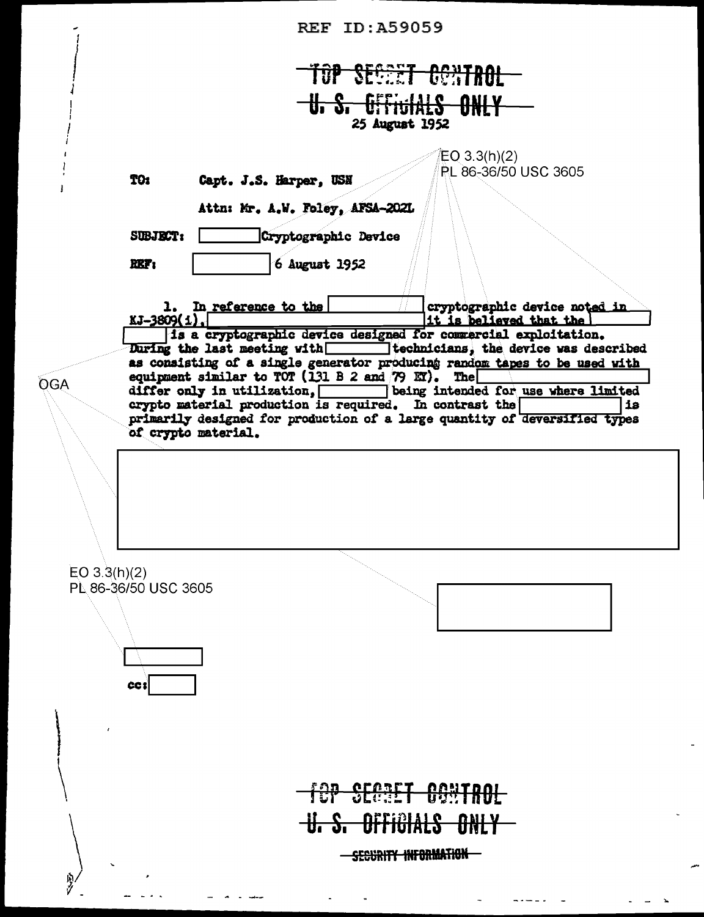